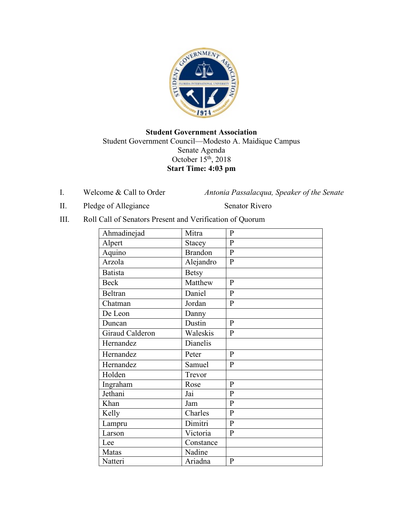

## **Student Government Association** Student Government Council—Modesto A. Maidique Campus Senate Agenda October 15th, 2018 **Start Time: 4:03 pm**

I. Welcome & Call to Order *Antonia Passalacqua, Speaker of the Senate* 

II. Pledge of Allegiance Senator Rivero

III. Roll Call of Senators Present and Verification of Quorum

| Ahmadinejad     | Mitra            | $\mathbf{P}$   |
|-----------------|------------------|----------------|
| Alpert          | <b>Stacey</b>    | $\overline{P}$ |
| Aquino          | <b>Brandon</b>   | $\overline{P}$ |
| Arzola          | Alejandro        | $\mathbf{P}$   |
| <b>Batista</b>  | <b>Betsy</b>     |                |
| <b>Beck</b>     | Matthew          | $\mathbf{P}$   |
| Beltran         | Daniel           | $\mathbf{P}$   |
| Chatman         | Jordan           | $\, {\bf P}$   |
| De Leon         | Danny            |                |
| Duncan          | Dustin           | $\mathbf{P}$   |
| Giraud Calderon | Waleskis         | ${\bf P}$      |
| Hernandez       | Dianelis         |                |
| Hernandez       | Peter            | $\mathbf{P}$   |
| Hernandez       | Samuel           | $\overline{P}$ |
| Holden          | Trevor           |                |
| Ingraham        | Rose             | $\mathbf{P}$   |
| Jethani         | $\overline{Jai}$ | $\overline{P}$ |
| Khan            | Jam              | $\mathbf{P}$   |
| Kelly           | Charles          | $\mathbf{P}$   |
| Lampru          | Dimitri          | $\overline{P}$ |
| Larson          | Victoria         | $\mathbf{P}$   |
| Lee             | Constance        |                |
| Matas           | Nadine           |                |
| Natteri         | Ariadna          | $\mathbf{P}$   |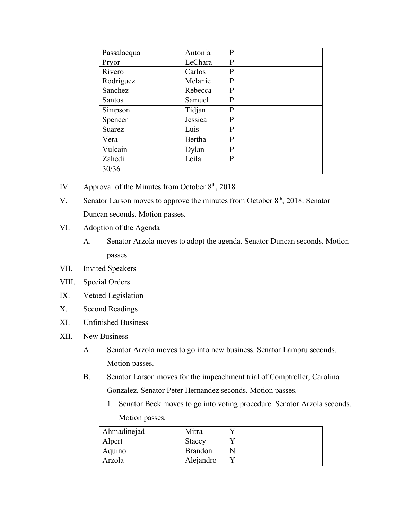| Passalacqua   | Antonia | P       |
|---------------|---------|---------|
| Pryor         | LeChara | P       |
| Rivero        | Carlos  | P       |
| Rodriguez     | Melanie | P       |
| Sanchez       | Rebecca | P       |
| <b>Santos</b> | Samuel  | P       |
| Simpson       | Tidjan  | $\bf P$ |
| Spencer       | Jessica | P       |
| Suarez        | Luis    | P       |
| Vera          | Bertha  | P       |
| Vulcain       | Dylan   | P       |
| Zahedi        | Leila   | P       |
| 30/36         |         |         |

- IV. Approval of the Minutes from October  $8<sup>th</sup>$ , 2018
- V. Senator Larson moves to approve the minutes from October  $8<sup>th</sup>$ , 2018. Senator Duncan seconds. Motion passes.
- VI. Adoption of the Agenda
	- A. Senator Arzola moves to adopt the agenda. Senator Duncan seconds. Motion passes.
- VII. Invited Speakers
- VIII. Special Orders
- IX. Vetoed Legislation
- X. Second Readings
- XI. Unfinished Business
- XII. New Business
	- A. Senator Arzola moves to go into new business. Senator Lampru seconds. Motion passes.
	- B. Senator Larson moves for the impeachment trial of Comptroller, Carolina Gonzalez. Senator Peter Hernandez seconds. Motion passes.
		- 1. Senator Beck moves to go into voting procedure. Senator Arzola seconds. Motion passes.

| Ahmadinejad | Mitra          |  |
|-------------|----------------|--|
| Alpert      | <b>Stacey</b>  |  |
| Aquino      | <b>Brandon</b> |  |
| Arzola      | Alejandro      |  |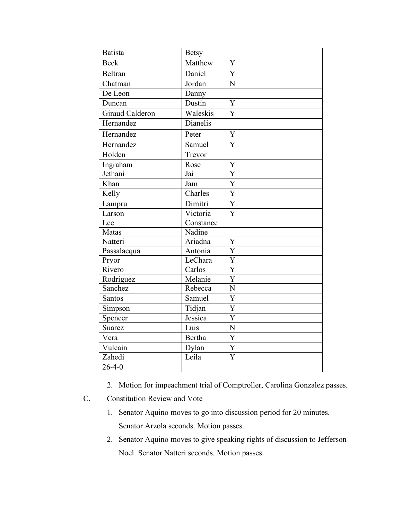| <b>Batista</b>         | <b>Betsy</b>  |                       |
|------------------------|---------------|-----------------------|
| <b>Beck</b>            | Matthew       | Y                     |
| <b>Beltran</b>         | Daniel        | Y                     |
| Chatman                | Jordan        | N                     |
| De Leon                | Danny         |                       |
| Duncan                 | Dustin        | $\overline{Y}$        |
| <b>Giraud Calderon</b> | Waleskis      | Y                     |
| Hernandez              | Dianelis      |                       |
| Hernandez              | Peter         | Y                     |
| Hernandez              | Samuel        | $\overline{Y}$        |
| Holden                 | Trevor        |                       |
| Ingraham               | Rose          | Y                     |
| Jethani                | Jai           | $\overline{\text{Y}}$ |
| Khan                   | Jam           | Y                     |
| Kelly                  | Charles       | $\overline{Y}$        |
| Lampru                 | Dimitri       | $\overline{Y}$        |
| Larson                 | Victoria      | $\overline{Y}$        |
| Lee                    | Constance     |                       |
| Matas                  | Nadine        |                       |
| Natteri                | Ariadna       | Y                     |
| Passalacqua            | Antonia       | Y                     |
| Pryor                  | LeChara       | $\overline{Y}$        |
| Rivero                 | Carlos        | $\overline{Y}$        |
| Rodriguez              | Melanie       | $\overline{Y}$        |
| Sanchez                | Rebecca       | N                     |
| Santos                 | Samuel        | $\overline{Y}$        |
| Simpson                | Tidjan        | $\overline{Y}$        |
| Spencer                | Jessica       | $\overline{\text{Y}}$ |
| <b>Suarez</b>          | Luis          | N                     |
| Vera                   | <b>Bertha</b> | $\overline{Y}$        |
| Vulcain                | Dylan         | $\overline{Y}$        |
| Zahedi                 | Leila         | $\overline{\text{Y}}$ |
| $26 - 4 - 0$           |               |                       |

- 2. Motion for impeachment trial of Comptroller, Carolina Gonzalez passes.
- C. Constitution Review and Vote
	- 1. Senator Aquino moves to go into discussion period for 20 minutes. Senator Arzola seconds. Motion passes.
	- 2. Senator Aquino moves to give speaking rights of discussion to Jefferson Noel. Senator Natteri seconds. Motion passes.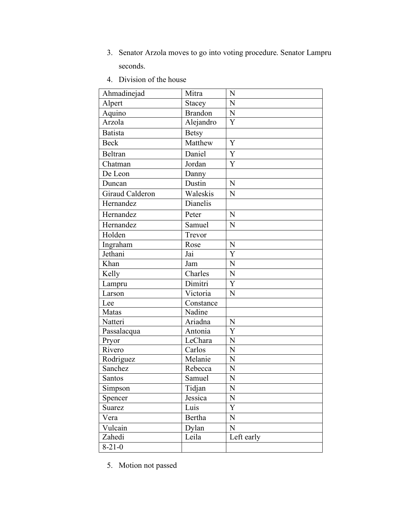- 3. Senator Arzola moves to go into voting procedure. Senator Lampru seconds.
- 4. Division of the house

| Ahmadinejad     | Mitra          | N              |
|-----------------|----------------|----------------|
| Alpert          | Stacey         | N              |
| Aquino          | <b>Brandon</b> | N              |
| Arzola          | Alejandro      | Y              |
| <b>Batista</b>  | <b>Betsy</b>   |                |
| <b>Beck</b>     | Matthew        | Y              |
| Beltran         | Daniel         | Y              |
| Chatman         | Jordan         | Y              |
| De Leon         | Danny          |                |
| Duncan          | Dustin         | N              |
| Giraud Calderon | Waleskis       | N              |
| Hernandez       | Dianelis       |                |
| Hernandez       | Peter          | N              |
| Hernandez       | Samuel         | N              |
| Holden          | Trevor         |                |
| Ingraham        | Rose           | N              |
| Jethani         | Jai            | Y              |
| Khan            | Jam            | N              |
| Kelly           | Charles        | N              |
| Lampru          | Dimitri        | Y              |
| Larson          | Victoria       | N              |
| Lee             | Constance      |                |
| Matas           | Nadine         |                |
| Natteri         | Ariadna        | N              |
| Passalacqua     | Antonia        | $\overline{Y}$ |
| Pryor           | LeChara        | N              |
| Rivero          | Carlos         | N              |
| Rodriguez       | Melanie        | N              |
| Sanchez         | Rebecca        | N              |
| Santos          | Samuel         | N              |
| Simpson         | Tidjan         | N              |
| Spencer         | Jessica        | $\mathbf N$    |
| Suarez          | Luis           | Y              |
| Vera            | Bertha         | $\mathbf N$    |
| Vulcain         | Dylan          | $\mathbf N$    |
| Zahedi          | Leila          | Left early     |
| $8 - 21 - 0$    |                |                |

5. Motion not passed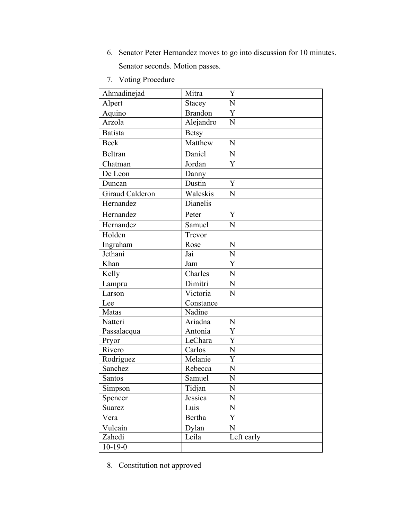- 6. Senator Peter Hernandez moves to go into discussion for 10 minutes. Senator seconds. Motion passes.
- 7. Voting Procedure

| Ahmadinejad     | Mitra          | Y              |
|-----------------|----------------|----------------|
| Alpert          | Stacey         | N              |
| Aquino          | <b>Brandon</b> | Y              |
| Arzola          | Alejandro      | N              |
| <b>Batista</b>  | <b>Betsy</b>   |                |
| <b>Beck</b>     | Matthew        | N              |
| Beltran         | Daniel         | N              |
| Chatman         | Jordan         | Y              |
| De Leon         | Danny          |                |
| Duncan          | Dustin         | Y              |
| Giraud Calderon | Waleskis       | N              |
| Hernandez       | Dianelis       |                |
| Hernandez       | Peter          | Y              |
| Hernandez       | Samuel         | N              |
| Holden          | Trevor         |                |
| Ingraham        | Rose           | N              |
| Jethani         | Jai            | N              |
| Khan            | Jam            | Y              |
| Kelly           | Charles        | N              |
| Lampru          | Dimitri        | N              |
| Larson          | Victoria       | N              |
| Lee             | Constance      |                |
| Matas           | Nadine         |                |
| Natteri         | Ariadna        | N              |
| Passalacqua     | Antonia        | $\overline{Y}$ |
| Pryor           | LeChara        | Y              |
| Rivero          | Carlos         | $\mathbf N$    |
| Rodriguez       | Melanie        | $\overline{Y}$ |
| Sanchez         | Rebecca        | $\overline{N}$ |
| Santos          | Samuel         | N              |
| Simpson         | Tidjan         | N              |
| Spencer         | Jessica        | ${\bf N}$      |
| Suarez          | Luis           | ${\bf N}$      |
| Vera            | Bertha         | $\mathbf Y$    |
| Vulcain         | Dylan          | N              |
| Zahedi          | Leila          | Left early     |
| $10-19-0$       |                |                |

8. Constitution not approved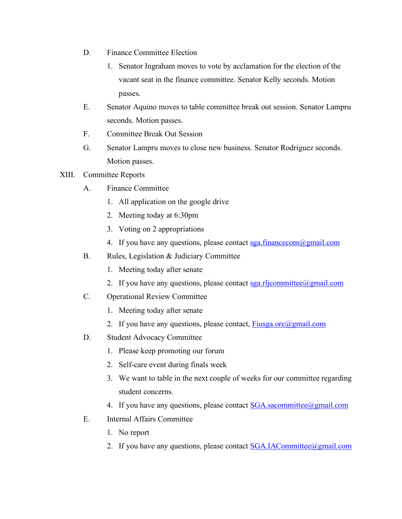- D. Finance Committee Election
	- 1. Senator Ingraham moves to vote by acclamation for the election of the vacant seat in the finance committee. Senator Kelly seconds. Motion passes.
- E. Senator Aquino moves to table committee break out session. Senator Lampru seconds. Motion passes.
- F. Committee Break Out Session
- G. Senator Lampru moves to close new business. Senator Rodriguez seconds. Motion passes.

## XIII. Committee Reports

- A. Finance Committee
	- 1. All application on the google drive
	- 2. Meeting today at 6:30pm
	- 3. Voting on 2 appropriations
	- 4. If you have any questions, please contact sga.financecom@gmail.com
- B. Rules, Legislation & Judiciary Committee
	- 1. Meeting today after senate
	- 2. If you have any questions, please contact sga.rljcommittee@gmail.com
- C. Operational Review Committee
	- 1. Meeting today after senate
	- 2. If you have any questions, please contact,  $Fiusga.$  or  $\alpha$  gmail.com
- D. Student Advocacy Committee
	- 1. Please keep promoting our forum
	- 2. Self-care event during finals week
	- 3. We want to table in the next couple of weeks for our committee regarding student concerns.
	- 4. If you have any questions, please contact **SGA** sacommittee@gmail.com
- E. Internal Affairs Committee
	- 1. No report
	- 2. If you have any questions, please contact **SGA.IACommittee**@gmail.com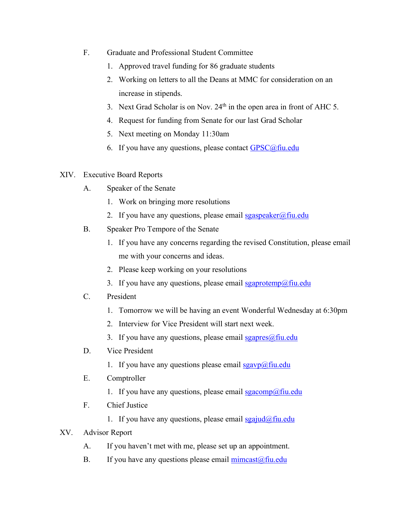- F. Graduate and Professional Student Committee
	- 1. Approved travel funding for 86 graduate students
	- 2. Working on letters to all the Deans at MMC for consideration on an increase in stipends.
	- 3. Next Grad Scholar is on Nov. 24<sup>th</sup> in the open area in front of AHC 5.
	- 4. Request for funding from Senate for our last Grad Scholar
	- 5. Next meeting on Monday 11:30am
	- 6. If you have any questions, please contact  $GPSC@$ fiu.edu
- XIV. Executive Board Reports
	- A. Speaker of the Senate
		- 1. Work on bringing more resolutions
		- 2. If you have any questions, please email  $sgaspeaker@final$
	- B. Speaker Pro Tempore of the Senate
		- 1. If you have any concerns regarding the revised Constitution, please email me with your concerns and ideas.
		- 2. Please keep working on your resolutions
		- 3. If you have any questions, please email sgaprotemp@fiu.edu
	- C. President
		- 1. Tomorrow we will be having an event Wonderful Wednesday at 6:30pm
		- 2. Interview for Vice President will start next week.
		- 3. If you have any questions, please email  $sgapres(\omega f\text{in.}$ edu
	- D. Vice President
		- 1. If you have any questions please email  $sgavp(\omega)$ fiu.edu
	- E. Comptroller
		- 1. If you have any questions, please email  $sgacomp(\hat{a})$ fiu.edu
	- F. Chief Justice
		- 1. If you have any questions, please email  $sgajud(\omega f\text{in.edu})$
- XV. Advisor Report
	- A. If you haven't met with me, please set up an appointment.
	- B. If you have any questions please email  $\frac{\text{mincast}(a)\text{fiu.edu}}{\text{mincast}(a)\text{fiu.edu}}$